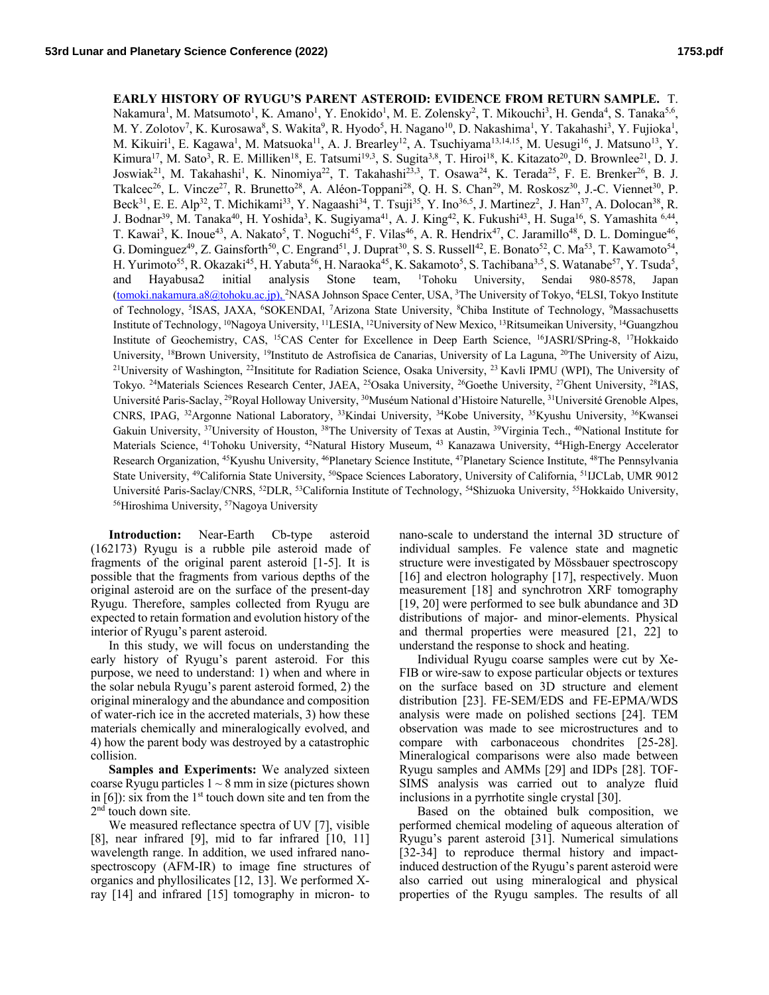**EARLY HISTORY OF RYUGU'S PARENT ASTEROID: EVIDENCE FROM RETURN SAMPLE.** T. Nakamura<sup>1</sup>, M. Matsumoto<sup>1</sup>, K. Amano<sup>1</sup>, Y. Enokido<sup>1</sup>, M. E. Zolensky<sup>2</sup>, T. Mikouchi<sup>3</sup>, H. Genda<sup>4</sup>, S. Tanaka<sup>5,6</sup>, M. Y. Zolotov<sup>7</sup>, K. Kurosawa<sup>8</sup>, S. Wakita<sup>9</sup>, R. Hyodo<sup>5</sup>, H. Nagano<sup>10</sup>, D. Nakashima<sup>1</sup>, Y. Takahashi<sup>3</sup>, Y. Fujioka<sup>1</sup>, M. Kikuiri<sup>1</sup>, E. Kagawa<sup>1</sup>, M. Matsuoka<sup>11</sup>, A. J. Brearley<sup>12</sup>, A. Tsuchiyama<sup>13,14,15</sup>, M. Uesugi<sup>16</sup>, J. Matsuno<sup>13</sup>, Y. Kimura<sup>17</sup>, M. Sato<sup>3</sup>, R. E. Milliken<sup>18</sup>, E. Tatsumi<sup>19,3</sup>, S. Sugita<sup>3,8</sup>, T. Hiroi<sup>18</sup>, K. Kitazato<sup>20</sup>, D. Brownlee<sup>21</sup>, D. J. Joswiak<sup>21</sup>, M. Takahashi<sup>1</sup>, K. Ninomiya<sup>22</sup>, T. Takahashi<sup>23,3</sup>, T. Osawa<sup>24</sup>, K. Terada<sup>25</sup>, F. E. Brenker<sup>26</sup>, B. J. Tkalcec<sup>26</sup>, L. Vincze<sup>27</sup>, R. Brunetto<sup>28</sup>, A. Aléon-Toppani<sup>28</sup>, Q. H. S. Chan<sup>29</sup>, M. Roskosz<sup>30</sup>, J.-C. Viennet<sup>30</sup>, P. Beck<sup>31</sup>, E. E. Alp<sup>32</sup>, T. Michikami<sup>33</sup>, Y. Nagaashi<sup>34</sup>, T. Tsuji<sup>35</sup>, Y. Ino<sup>36,5</sup>, J. Martinez<sup>2</sup>, J. Han<sup>37</sup>, A. Dolocan<sup>38</sup>, R. J. Bodnar<sup>39</sup>, M. Tanaka<sup>40</sup>, H. Yoshida<sup>3</sup>, K. Sugiyama<sup>41</sup>, A. J. King<sup>42</sup>, K. Fukushi<sup>43</sup>, H. Suga<sup>16</sup>, S. Yamashita <sup>6,44</sup>, T. Kawai<sup>3</sup>, K. Inoue<sup>43</sup>, A. Nakato<sup>5</sup>, T. Noguchi<sup>45</sup>, F. Vilas<sup>46</sup>, A. R. Hendrix<sup>47</sup>, C. Jaramillo<sup>48</sup>, D. L. Domingue<sup>46</sup>, G. Dominguez<sup>49</sup>, Z. Gainsforth<sup>50</sup>, C. Engrand<sup>51</sup>, J. Duprat<sup>30</sup>, S. S. Russell<sup>42</sup>, E. Bonato<sup>52</sup>, C. Ma<sup>53</sup>, T. Kawamoto<sup>54</sup>, H. Yurimoto<sup>55</sup>, R. Okazaki<sup>45</sup>, H. Yabuta<sup>56</sup>, H. Naraoka<sup>45</sup>, K. Sakamoto<sup>5</sup>, S. Tachibana<sup>3,5</sup>, S. Watanabe<sup>57</sup>, Y. Tsuda<sup>5</sup>, and Hayabusa2 initial analysis Stone team, <sup>1</sup> Tohoku University, Sendai 980-8578, Japan (tomoki.nakamura.a8@tohoku.ac.jp), <sup>2</sup>NASA Johnson Space Center, USA, <sup>3</sup>The University of Tokyo, <sup>4</sup>ELSI, Tokyo Institute of Technology, <sup>5</sup>ISAS, JAXA, <sup>6</sup>SOKENDAI, <sup>7</sup>Arizona State University, <sup>8</sup>Chiba Institute of Technology, <sup>9</sup>Massachusetts Institute of Technology, 10Nagoya University, 11LESIA, 12University of New Mexico, 13Ritsumeikan University, 14Guangzhou Institute of Geochemistry, CAS, 15CAS Center for Excellence in Deep Earth Science, 16JASRI/SPring-8, 17Hokkaido University, <sup>18</sup>Brown University, <sup>19</sup>Instituto de Astrofísica de Canarias, University of La Laguna, <sup>20</sup>The University of Aizu, <sup>21</sup>University of Washington, <sup>22</sup>Insititute for Radiation Science, Osaka University, <sup>23</sup> Ka Tokyo. 24Materials Sciences Research Center, JAEA, 25Osaka University, 26Goethe University, 27Ghent University, 28IAS, Université Paris-Saclay, <sup>29</sup>Royal Holloway University, <sup>30</sup>Muséum National d'Histoire Naturelle, <sup>31</sup>Université Grenoble Alpes, CNRS, IPAG, 32Argonne National Laboratory, 33Kindai University, 34Kobe University, 35Kyushu University, 36Kwansei Gakuin University, <sup>37</sup>University of Houston, <sup>38</sup>The University of Texas at Austin, <sup>39</sup>Virginia Tech., <sup>40</sup>National Institute for Materials Science, 41Tohoku University, 42Natural History Museum, 43 Kanazawa University, 44High-Energy Accelerator Research Organization, 45Kyushu University, 46Planetary Science Institute, 47Planetary Science Institute, 48The Pennsylvania State University, <sup>49</sup>California State University, <sup>50</sup>Space Sciences Laboratory, University of California, <sup>51</sup>IJCLab, UMR 9012 Université Paris-Saclay/CNRS, <sup>52</sup>DLR, <sup>53</sup>California Institute of Technology, <sup>54</sup>Shizuoka University, <sup>55</sup>Hokkaido University, <sup>56</sup>Hiroshima University, <sup>57</sup>Nagoya University

**Introduction:** Near-Earth Cb-type asteroid (162173) Ryugu is a rubble pile asteroid made of fragments of the original parent asteroid [1-5]. It is possible that the fragments from various depths of the original asteroid are on the surface of the present-day Ryugu. Therefore, samples collected from Ryugu are expected to retain formation and evolution history of the interior of Ryugu's parent asteroid.

In this study, we will focus on understanding the early history of Ryugu's parent asteroid. For this purpose, we need to understand: 1) when and where in the solar nebula Ryugu's parent asteroid formed, 2) the original mineralogy and the abundance and composition of water-rich ice in the accreted materials, 3) how these materials chemically and mineralogically evolved, and 4) how the parent body was destroyed by a catastrophic collision.

**Samples and Experiments:** We analyzed sixteen coarse Ryugu particles  $1 \sim 8$  mm in size (pictures shown in  $[6]$ : six from the 1<sup>st</sup> touch down site and ten from the 2<sup>nd</sup> touch down site.

We measured reflectance spectra of UV [7], visible [8], near infrared [9], mid to far infrared [10, 11] wavelength range. In addition, we used infrared nanospectroscopy (AFM-IR) to image fine structures of organics and phyllosilicates [12, 13]. We performed Xray [14] and infrared [15] tomography in micron- to

nano-scale to understand the internal 3D structure of individual samples. Fe valence state and magnetic structure were investigated by Mössbauer spectroscopy [16] and electron holography [17], respectively. Muon measurement [18] and synchrotron XRF tomography [19, 20] were performed to see bulk abundance and 3D distributions of major- and minor-elements. Physical and thermal properties were measured [21, 22] to understand the response to shock and heating.

Individual Ryugu coarse samples were cut by Xe-FIB or wire-saw to expose particular objects or textures on the surface based on 3D structure and element distribution [23]. FE-SEM/EDS and FE-EPMA/WDS analysis were made on polished sections [24]. TEM observation was made to see microstructures and to compare with carbonaceous chondrites [25-28]. Mineralogical comparisons were also made between Ryugu samples and AMMs [29] and IDPs [28]. TOF-SIMS analysis was carried out to analyze fluid inclusions in a pyrrhotite single crystal [30].

Based on the obtained bulk composition, we performed chemical modeling of aqueous alteration of Ryugu's parent asteroid [31]. Numerical simulations [32-34] to reproduce thermal history and impactinduced destruction of the Ryugu's parent asteroid were also carried out using mineralogical and physical properties of the Ryugu samples. The results of all